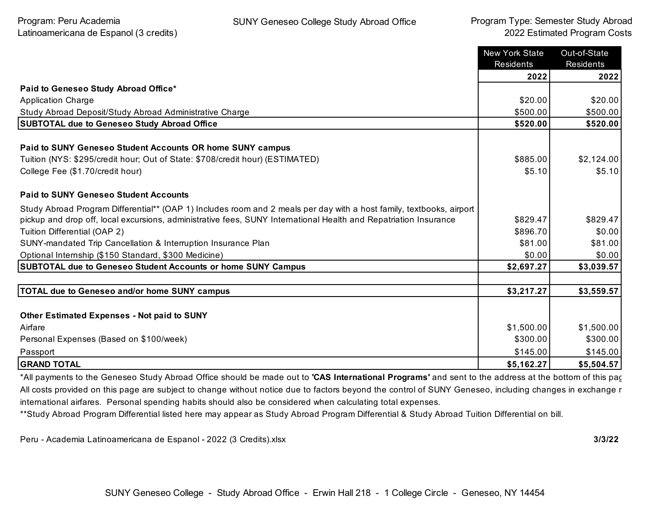|                                                                                                                      | <b>New York State</b><br><b>Residents</b> | Out-of-State<br>Residents |
|----------------------------------------------------------------------------------------------------------------------|-------------------------------------------|---------------------------|
|                                                                                                                      | 2022                                      | 2022                      |
| Paid to Geneseo Study Abroad Office*                                                                                 |                                           |                           |
| <b>Application Charge</b>                                                                                            | \$20.00                                   | \$20.00                   |
| Study Abroad Deposit/Study Abroad Administrative Charge                                                              | \$500.00                                  | \$500.00                  |
| <b>SUBTOTAL due to Geneseo Study Abroad Office</b>                                                                   | \$520.00                                  | \$520.00                  |
| Paid to SUNY Geneseo Student Accounts OR home SUNY campus                                                            |                                           |                           |
| Tuition (NYS: \$295/credit hour; Out of State: \$708/credit hour) (ESTIMATED)                                        | \$885.00                                  | \$2,124.00                |
| College Fee (\$1.70/credit hour)                                                                                     | \$5.10                                    | \$5.10                    |
| <b>Paid to SUNY Geneseo Student Accounts</b>                                                                         |                                           |                           |
| Study Abroad Program Differential** (OAP 1) Includes room and 2 meals per day with a host family, textbooks, airport |                                           |                           |
| pickup and drop off, local excursions, administrative fees, SUNY International Health and Repatriation Insurance     | \$829.47                                  | \$829.47                  |
| Tuition Differential (OAP 2)                                                                                         | \$896.70                                  | \$0.00                    |
| SUNY-mandated Trip Cancellation & Interruption Insurance Plan                                                        | \$81.00                                   | \$81.00                   |
| Optional Internship (\$150 Standard, \$300 Medicine)                                                                 | \$0.00                                    | \$0.00                    |
| <b>SUBTOTAL due to Geneseo Student Accounts or home SUNY Campus</b>                                                  | \$2,697.27                                | \$3,039.57                |
|                                                                                                                      |                                           |                           |
| <b>TOTAL due to Geneseo and/or home SUNY campus</b>                                                                  | \$3,217.27                                | \$3,559.57                |
|                                                                                                                      |                                           |                           |
| <b>Other Estimated Expenses - Not paid to SUNY</b>                                                                   |                                           |                           |
| Airfare                                                                                                              | \$1,500.00                                | \$1,500.00                |
| Personal Expenses (Based on \$100/week)                                                                              | \$300.00                                  | \$300.00                  |
| Passport                                                                                                             | \$145.00                                  | \$145.00                  |
| <b>GRAND TOTAL</b>                                                                                                   | \$5,162.27                                | \$5,504.57                |

\*All payments to the Geneseo Study Abroad Office should be made out to **'CAS International Programs'** and sent to the address at the bottom of this page. All costs provided on this page are subject to change without notice due to factors beyond the control of SUNY Geneseo, including changes in exchange r international airfares. Personal spending habits should also be considered when calculating total expenses.

\*\*Study Abroad Program Differential listed here may appear as Study Abroad Program Differential & Study Abroad Tuition Differential on bill.

Peru - Academia Latinoamericana de Espanol - 2022 (3 Credits).xlsx **3/3/22**